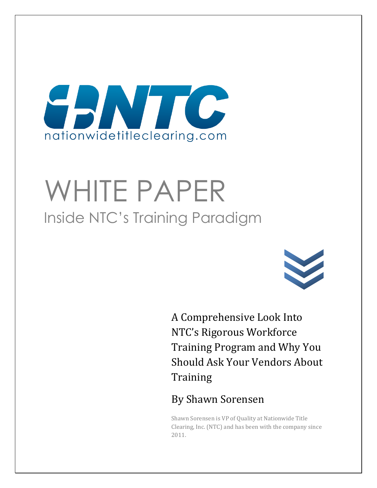

# WHITE PAPER Inside NTC's Training Paradigm



A Comprehensive Look Into NTC's Rigorous Workforce Training Program and Why You Should Ask Your Vendors About **Training** 

## By Shawn Sorensen

Shawn Sorensen is VP of Quality at Nationwide Title Clearing, Inc. (NTC) and has been with the company since 2011.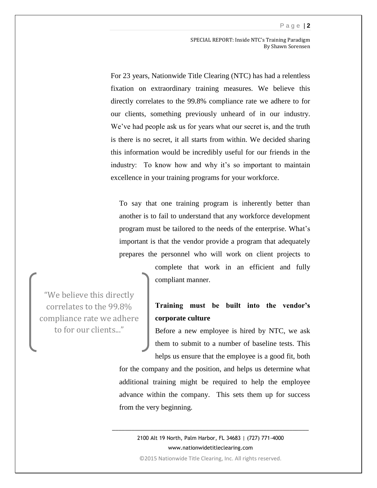#### P a g e | **2**

SPECIAL REPORT: Inside NTC's Training Paradigm By Shawn Sorensen

For 23 years, Nationwide Title Clearing (NTC) has had a relentless fixation on extraordinary training measures. We believe this directly correlates to the 99.8% compliance rate we adhere to for our clients, something previously unheard of in our industry. We've had people ask us for years what our secret is, and the truth is there is no secret, it all starts from within. We decided sharing this information would be incredibly useful for our friends in the industry: To know how and why it's so important to maintain excellence in your training programs for your workforce.

To say that one training program is inherently better than another is to fail to understand that any workforce development program must be tailored to the needs of the enterprise. What's important is that the vendor provide a program that adequately prepares the personnel who will work on client projects to

"We believe this directly correlates to the 99.8% compliance rate we adhere to for our clients..."

complete that work in an efficient and fully compliant manner.

## **Training must be built into the vendor's corporate culture**

Before a new employee is hired by NTC, we ask them to submit to a number of baseline tests. This helps us ensure that the employee is a good fit, both

for the company and the position, and helps us determine what additional training might be required to help the employee advance within the company. This sets them up for success from the very beginning.

2100 Alt 19 North, Palm Harbor, FL 34683 | (727) 771-4000 www.nationwidetitleclearing.com

\_\_\_\_\_\_\_\_\_\_\_\_\_\_\_\_\_\_\_\_\_\_\_\_\_\_\_\_\_\_\_\_\_\_\_\_\_\_\_\_\_\_\_\_\_\_\_\_\_\_\_\_\_\_\_\_\_\_\_\_\_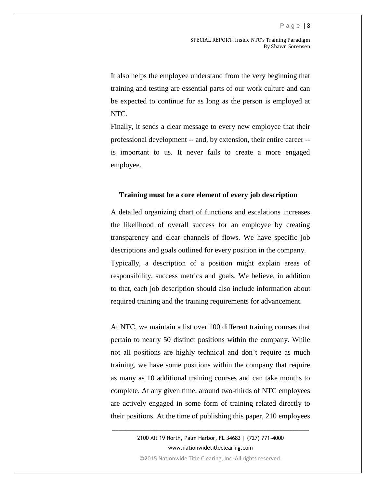It also helps the employee understand from the very beginning that training and testing are essential parts of our work culture and can be expected to continue for as long as the person is employed at NTC.

Finally, it sends a clear message to every new employee that their professional development -- and, by extension, their entire career - is important to us. It never fails to create a more engaged employee.

### **Training must be a core element of every job description**

A detailed organizing chart of functions and escalations increases the likelihood of overall success for an employee by creating transparency and clear channels of flows. We have specific job descriptions and goals outlined for every position in the company. Typically, a description of a position might explain areas of responsibility, success metrics and goals. We believe, in addition to that, each job description should also include information about required training and the training requirements for advancement.

At NTC, we maintain a list over 100 different training courses that pertain to nearly 50 distinct positions within the company. While not all positions are highly technical and don't require as much training, we have some positions within the company that require as many as 10 additional training courses and can take months to complete. At any given time, around two-thirds of NTC employees are actively engaged in some form of training related directly to their positions. At the time of publishing this paper, 210 employees

> 2100 Alt 19 North, Palm Harbor, FL 34683 | (727) 771-4000 www.nationwidetitleclearing.com

\_\_\_\_\_\_\_\_\_\_\_\_\_\_\_\_\_\_\_\_\_\_\_\_\_\_\_\_\_\_\_\_\_\_\_\_\_\_\_\_\_\_\_\_\_\_\_\_\_\_\_\_\_\_\_\_\_\_\_\_\_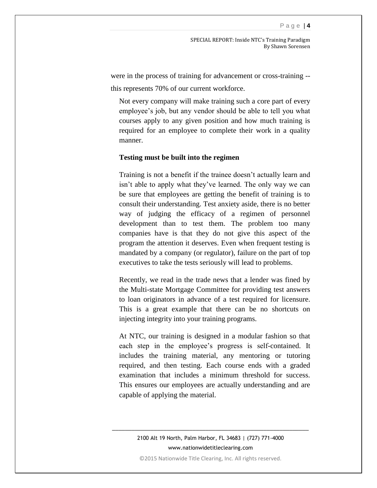SPECIAL REPORT: Inside NTC's Training Paradigm By Shawn Sorensen

were in the process of training for advancement or cross-training - this represents 70% of our current workforce.

Not every company will make training such a core part of every employee's job, but any vendor should be able to tell you what courses apply to any given position and how much training is required for an employee to complete their work in a quality manner.

### **Testing must be built into the regimen**

Training is not a benefit if the trainee doesn't actually learn and isn't able to apply what they've learned. The only way we can be sure that employees are getting the benefit of training is to consult their understanding. Test anxiety aside, there is no better way of judging the efficacy of a regimen of personnel development than to test them. The problem too many companies have is that they do not give this aspect of the program the attention it deserves. Even when frequent testing is mandated by a company (or regulator), failure on the part of top executives to take the tests seriously will lead to problems.

Recently, we read in the trade news that a lender was fined by the Multi-state Mortgage Committee for providing test answers to loan originators in advance of a test required for licensure. This is a great example that there can be no shortcuts on injecting integrity into your training programs.

At NTC, our training is designed in a modular fashion so that each step in the employee's progress is self-contained. It includes the training material, any mentoring or tutoring required, and then testing. Each course ends with a graded examination that includes a minimum threshold for success. This ensures our employees are actually understanding and are capable of applying the material.

2100 Alt 19 North, Palm Harbor, FL 34683 | (727) 771-4000 www.nationwidetitleclearing.com

\_\_\_\_\_\_\_\_\_\_\_\_\_\_\_\_\_\_\_\_\_\_\_\_\_\_\_\_\_\_\_\_\_\_\_\_\_\_\_\_\_\_\_\_\_\_\_\_\_\_\_\_\_\_\_\_\_\_\_\_\_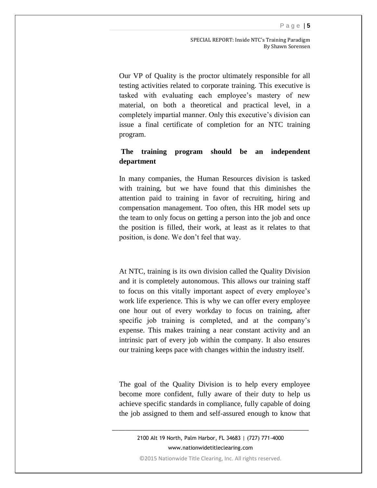SPECIAL REPORT: Inside NTC's Training Paradigm By Shawn Sorensen

Our VP of Quality is the proctor ultimately responsible for all testing activities related to corporate training. This executive is tasked with evaluating each employee's mastery of new material, on both a theoretical and practical level, in a completely impartial manner. Only this executive's division can issue a final certificate of completion for an NTC training program.

## **The training program should be an independent department**

In many companies, the Human Resources division is tasked with training, but we have found that this diminishes the attention paid to training in favor of recruiting, hiring and compensation management. Too often, this HR model sets up the team to only focus on getting a person into the job and once the position is filled, their work, at least as it relates to that position, is done. We don't feel that way.

At NTC, training is its own division called the Quality Division and it is completely autonomous. This allows our training staff to focus on this vitally important aspect of every employee's work life experience. This is why we can offer every employee one hour out of every workday to focus on training, after specific job training is completed, and at the company's expense. This makes training a near constant activity and an intrinsic part of every job within the company. It also ensures our training keeps pace with changes within the industry itself.

The goal of the Quality Division is to help every employee become more confident, fully aware of their duty to help us achieve specific standards in compliance, fully capable of doing the job assigned to them and self-assured enough to know that

2100 Alt 19 North, Palm Harbor, FL 34683 | (727) 771-4000 www.nationwidetitleclearing.com

\_\_\_\_\_\_\_\_\_\_\_\_\_\_\_\_\_\_\_\_\_\_\_\_\_\_\_\_\_\_\_\_\_\_\_\_\_\_\_\_\_\_\_\_\_\_\_\_\_\_\_\_\_\_\_\_\_\_\_\_\_